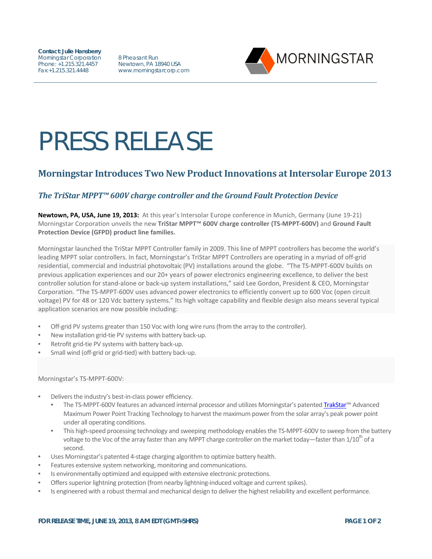**Contact: Julie Hansberry** Morningstar Corporation Phone: +1.215.321.4457 Fax:+1.215.321.4448

8 Pheasant Run Newtown, PA 18940 USA www.morningstarcorp.com



# PRESS RELEASE

## **Morningstar Introduces Two New Product Innovations at Intersolar Europe 2013**

## *The TriStar MPPT™ 600V charge controller and the Ground Fault Protection Device*

**Newtown, PA, USA, June 19, 2013:** At this year's Intersolar Europe conference in Munich, Germany (June 19-21) Morningstar Corporation unveils the new **TriStar MPPT™ 600V charge controller (TS-MPPT-600V)** and **Ground Fault Protection Device (GFPD) product line families.** 

Morningstar launched the TriStar MPPT Controller family in 2009. This line of MPPT controllers has become the world's leading MPPT solar controllers. In fact, Morningstar's TriStar MPPT Controllers are operating in a myriad of off-grid residential, commercial and industrial photovoltaic (PV) installations around the globe. "The TS-MPPT-600V builds on previous application experiences and our 20+ years of power electronics engineering excellence, to deliver the best controller solution for stand-alone or back-up system installations," said Lee Gordon, President & CEO, Morningstar Corporation. "The TS-MPPT-600V uses advanced power electronics to efficiently convert up to 600 Voc (open circuit voltage) PV for 48 or 120 Vdc battery systems." Its high voltage capability and flexible design also means several typical application scenarios are now possible including:

- Off-grid PV systems greater than 150 Voc with long wire runs (from the array to the controller).
- New installation grid-tie PV systems with battery back-up.
- Retrofit grid-tie PV systems with battery back-up.
- Small wind (off-grid or grid-tied) with battery back-up.

Morningstar's TS-MPPT-600V:

- Delivers the industry's best-in-class power efficiency.
	- The TS-MPPT-600V features an advanced internal processor and utilizes Morningstar's patente[d TrakStar™](http://www.morningstarcorp.com/trakstar) Advanced Maximum Power Point Tracking Technology to harvest the maximum power from the solar array's peak power point under all operating conditions.
	- This high-speed processing technology and sweeping methodology enables the TS-MPPT-600V to sweep from the battery voltage to the Voc of the array faster than any MPPT charge controller on the market today—faster than  $1/10^{m}$  of a second.
- Uses Morningstar's patented 4-stage charging algorithm to optimize battery health.
- Features extensive system networking, monitoring and communications.
- Is environmentally optimized and equipped with extensive electronic protections.
- Offers superior lightning protection (from nearby lightning-induced voltage and current spikes).
- Is engineered with a robust thermal and mechanical design to deliver the highest reliability and excellent performance.